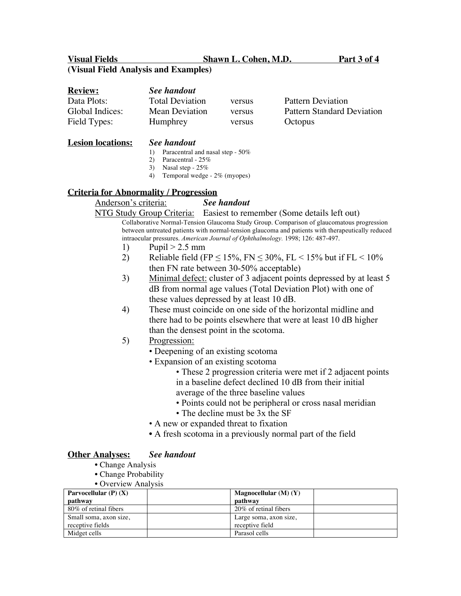**Visual Fields Shawn L. Cohen, M.D. Part 3 of 4**

# **(Visual Field Analysis and Examples)**

| <b>Review:</b>  | See handout            |        |                                   |
|-----------------|------------------------|--------|-----------------------------------|
| Data Plots:     | <b>Total Deviation</b> | versus | Pattern Deviation                 |
| Global Indices: | Mean Deviation         | versus | <b>Pattern Standard Deviation</b> |
| Field Types:    | Humphrey               | versus | Octopus                           |

#### **Lesion locations:** *See handout*

#### 1) Paracentral and nasal step - 50%

- 2) Paracentral 25%
- 3) Nasal step 25%
- 4) Temporal wedge 2% (myopes)

## **Criteria for Abnormality / Progression**

# Anderson's criteria: *See handout*

NTG Study Group Criteria: Easiest to remember (Some details left out) Collaborative Normal-Tension Glaucoma Study Group. Comparison of glaucomatous progression between untreated patients with normal-tension glaucoma and patients with therapeutically reduced intraocular pressures. *American Journal of Ophthalmology.* 1998; 126: 487-497.

- 1) Pupil  $> 2.5$  mm
- 2) Reliable field (FP  $\leq$  15%, FN  $\leq$  30%, FL  $\leq$  15% but if FL  $\leq$  10% then FN rate between 30-50% acceptable)
- 3) Minimal defect: cluster of 3 adjacent points depressed by at least 5 dB from normal age values (Total Deviation Plot) with one of these values depressed by at least 10 dB.
- 4) These must coincide on one side of the horizontal midline and there had to be points elsewhere that were at least 10 dB higher than the densest point in the scotoma.
- 5) Progression:
	- Deepening of an existing scotoma
	- Expansion of an existing scotoma
		- These 2 progression criteria were met if 2 adjacent points in a baseline defect declined 10 dB from their initial average of the three baseline values
		- Points could not be peripheral or cross nasal meridian
		- The decline must be 3x the SF
	- A new or expanded threat to fixation
	- A fresh scotoma in a previously normal part of the field

## **Other Analyses:** *See handout*

- Change Analysis
- Change Probability
- Overview Analysis

| Parvocellular $(P)$ $(X)$ | Magnocellular $(M)$ $(Y)$ |
|---------------------------|---------------------------|
| pathway                   | pathway                   |
| 80\% of retinal fibers    | 20\% of retinal fibers    |
| Small soma, axon size,    | Large soma, axon size,    |
| receptive fields          | receptive field           |
| Midget cells              | Parasol cells             |